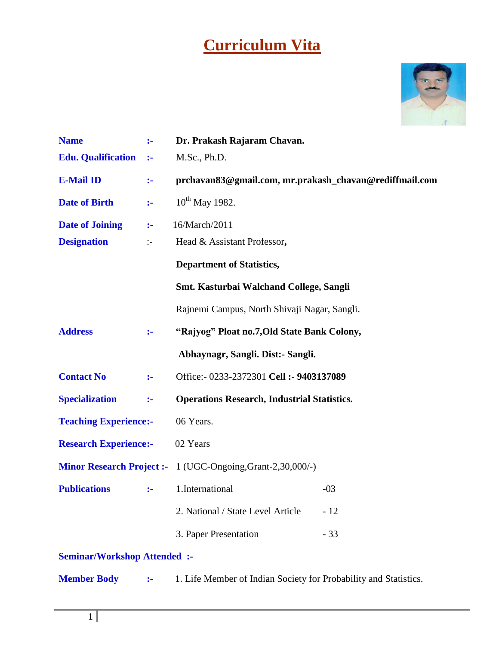# **Curriculum Vita**



| <b>Name</b>                       | $\ddot{\phantom{a}}$ | Dr. Prakash Rajaram Chavan.                                        |       |  |
|-----------------------------------|----------------------|--------------------------------------------------------------------|-------|--|
| <b>Edu.</b> Qualification         | $\ddot{\phantom{a}}$ | M.Sc., Ph.D.                                                       |       |  |
| <b>E-Mail ID</b>                  | $\ddot{\phantom{1}}$ | prchavan83@gmail.com, mr.prakash_chavan@rediffmail.com             |       |  |
| <b>Date of Birth</b>              | $\ddot{\phantom{a}}$ | $10^{th}$ May 1982.                                                |       |  |
| <b>Date of Joining</b>            | $\ddot{\phantom{1}}$ | 16/March/2011                                                      |       |  |
| <b>Designation</b>                | $\div$               | Head & Assistant Professor,                                        |       |  |
|                                   |                      | <b>Department of Statistics,</b>                                   |       |  |
|                                   |                      | Smt. Kasturbai Walchand College, Sangli                            |       |  |
|                                   |                      | Rajnemi Campus, North Shivaji Nagar, Sangli.                       |       |  |
| <b>Address</b>                    | $\ddot{\phantom{1}}$ | "Rajyog" Ploat no.7, Old State Bank Colony,                        |       |  |
|                                   |                      | Abhaynagr, Sangli. Dist:- Sangli.                                  |       |  |
| <b>Contact No</b>                 | ÷                    | Office: - 0233-2372301 Cell : - 9403137089                         |       |  |
| <b>Specialization</b>             | $\ddot{\phantom{a}}$ | <b>Operations Research, Industrial Statistics.</b>                 |       |  |
| <b>Teaching Experience:-</b>      |                      | 06 Years.                                                          |       |  |
| <b>Research Experience:-</b>      |                      | 02 Years                                                           |       |  |
|                                   |                      | <b>Minor Research Project :-</b> 1 (UGC-Ongoing, Grant-2,30,000/-) |       |  |
| <b>Publications</b>               | $:-$                 | 1.International                                                    | $-03$ |  |
|                                   |                      | 2. National / State Level Article                                  | $-12$ |  |
|                                   |                      | 3. Paper Presentation                                              | $-33$ |  |
| <b>Seminar/Workshop Attended:</b> |                      |                                                                    |       |  |
| <b>Member Body</b>                | ÷                    | 1. Life Member of Indian Society for Probability and Statistics.   |       |  |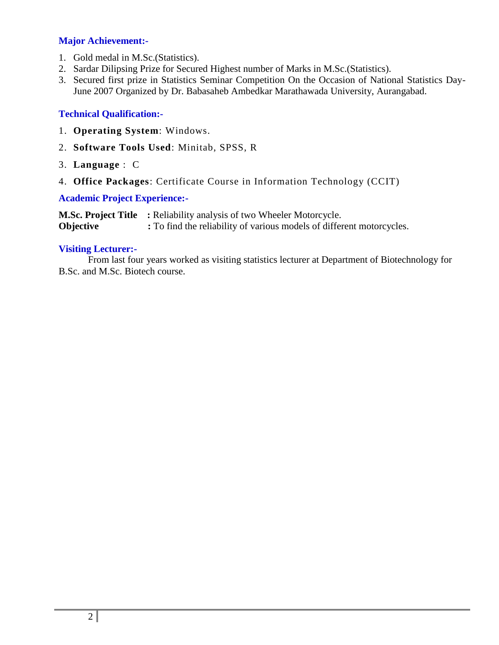#### **Major Achievement:-**

- 1. Gold medal in M.Sc.(Statistics).
- 2. Sardar Dilipsing Prize for Secured Highest number of Marks in M.Sc.(Statistics).
- 3. Secured first prize in Statistics Seminar Competition On the Occasion of National Statistics Day-June 2007 Organized by Dr. Babasaheb Ambedkar Marathawada University, Aurangabad.

#### **Technical Qualification:-**

- 1. **Operating System**: Windows.
- 2. **Software Tools Used**: Minitab, SPSS, R
- 3. **Language** : C
- 4. **Office Packages**: Certificate Course in Information Technology (CCIT)

#### **Academic Project Experience:-**

**M.Sc. Project Title :** Reliability analysis of two Wheeler Motorcycle. **Objective :** To find the reliability of various models of different motorcycles.

#### **Visiting Lecturer:-**

From last four years worked as visiting statistics lecturer at Department of Biotechnology for B.Sc. and M.Sc. Biotech course.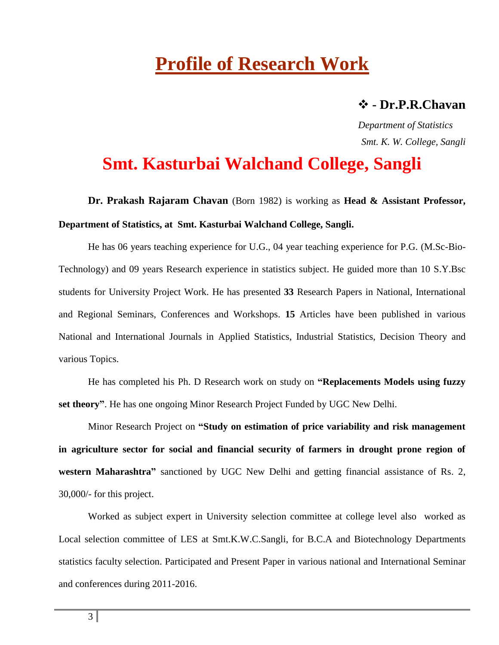# **Profile of Research Work**

### **- Dr.P.R.Chavan**

 *Department of Statistics Smt. K. W. College, Sangli*

# **Smt. Kasturbai Walchand College, Sangli**

**Dr. Prakash Rajaram Chavan** (Born 1982) is working as **Head & Assistant Professor, Department of Statistics, at Smt. Kasturbai Walchand College, Sangli.**

He has 06 years teaching experience for U.G., 04 year teaching experience for P.G. (M.Sc-Bio-Technology) and 09 years Research experience in statistics subject. He guided more than 10 S.Y.Bsc students for University Project Work. He has presented **33** Research Papers in National, International and Regional Seminars, Conferences and Workshops. **15** Articles have been published in various National and International Journals in Applied Statistics, Industrial Statistics, Decision Theory and various Topics.

He has completed his Ph. D Research work on study on **"Replacements Models using fuzzy set theory"**. He has one ongoing Minor Research Project Funded by UGC New Delhi.

Minor Research Project on **"Study on estimation of price variability and risk management in agriculture sector for social and financial security of farmers in drought prone region of western Maharashtra"** sanctioned by UGC New Delhi and getting financial assistance of Rs. 2, 30,000/- for this project.

Worked as subject expert in University selection committee at college level also worked as Local selection committee of LES at Smt.K.W.C.Sangli, for B.C.A and Biotechnology Departments statistics faculty selection. Participated and Present Paper in various national and International Seminar and conferences during 2011-2016.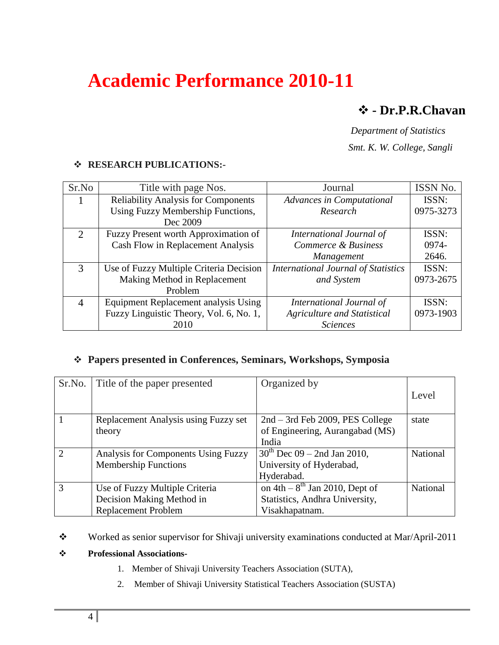# **Academic Performance 2010-11**

## **- Dr.P.R.Chavan**

*Department of Statistics* 

 *Smt. K. W. College, Sangli*

#### **RESEARCH PUBLICATIONS:-**

| Sr.No                 | Title with page Nos.                       | Journal                                    | ISSN No.  |
|-----------------------|--------------------------------------------|--------------------------------------------|-----------|
|                       | <b>Reliability Analysis for Components</b> | <b>Advances in Computational</b>           | ISSN:     |
|                       | Using Fuzzy Membership Functions,          | Research                                   | 0975-3273 |
|                       | Dec 2009                                   |                                            |           |
| $\mathcal{D}_{\cdot}$ | Fuzzy Present worth Approximation of       | International Journal of                   | ISSN:     |
|                       | Cash Flow in Replacement Analysis          | Commerce & Business                        | 0974-     |
|                       |                                            | Management                                 | 2646.     |
| 3                     | Use of Fuzzy Multiple Criteria Decision    | <b>International Journal of Statistics</b> | ISSN:     |
|                       | Making Method in Replacement               | and System                                 | 0973-2675 |
|                       | Problem                                    |                                            |           |
| $\overline{4}$        | Equipment Replacement analysis Using       | International Journal of                   | ISSN:     |
|                       | Fuzzy Linguistic Theory, Vol. 6, No. 1,    | <b>Agriculture and Statistical</b>         | 0973-1903 |
|                       | 2010                                       | <b>Sciences</b>                            |           |

### **Papers presented in Conferences, Seminars, Workshops, Symposia**

| Sr.No.         | Title of the paper presented         | Organized by                                                        |                 |
|----------------|--------------------------------------|---------------------------------------------------------------------|-----------------|
|                |                                      |                                                                     | Level           |
|                | Replacement Analysis using Fuzzy set | $2nd - 3rd$ Feb 2009, PES College                                   | state           |
|                | theory                               | of Engineering, Aurangabad (MS)                                     |                 |
|                |                                      | India                                                               |                 |
| $\overline{2}$ | Analysis for Components Using Fuzzy  | $30^{th}$ Dec 09 – 2nd Jan 2010,                                    | <b>National</b> |
|                | <b>Membership Functions</b>          | University of Hyderabad,                                            |                 |
|                |                                      | Hyderabad.                                                          |                 |
| 3              | Use of Fuzzy Multiple Criteria       | $\overline{\text{on }4\text{th}} - 8^{\text{th}}$ Jan 2010, Dept of | National        |
|                | Decision Making Method in            | Statistics, Andhra University,                                      |                 |
|                | <b>Replacement Problem</b>           | Visakhapatnam.                                                      |                 |

\* Worked as senior supervisor for Shivaji university examinations conducted at Mar/April-2011

- 1. Member of Shivaji University Teachers Association (SUTA),
- 2. Member of Shivaji University Statistical Teachers Association (SUSTA)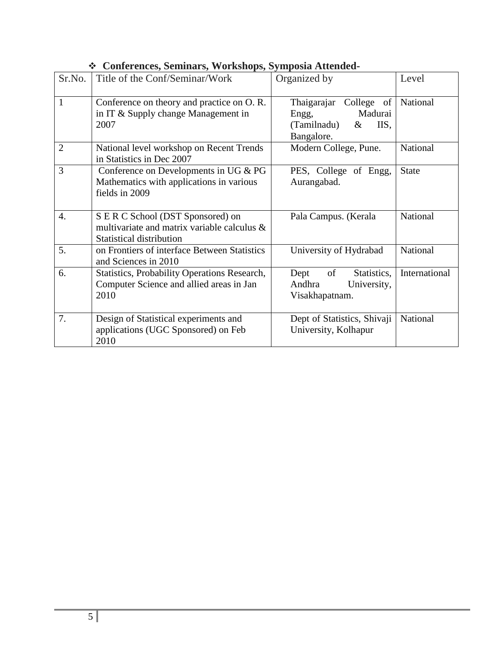| Sr.No.           | Title of the Conf/Seminar/Work                                                                                      | Organized by                                                                            | Level         |
|------------------|---------------------------------------------------------------------------------------------------------------------|-----------------------------------------------------------------------------------------|---------------|
| $\mathbf{1}$     | Conference on theory and practice on O.R.<br>in IT & Supply change Management in<br>2007                            | Thaigarajar College of<br>Madurai<br>Engg,<br>(Tamilnadu)<br>IIS,<br>$\&$<br>Bangalore. | National      |
| $\overline{2}$   | National level workshop on Recent Trends<br>in Statistics in Dec 2007                                               | Modern College, Pune.                                                                   | National      |
| 3                | Conference on Developments in UG $& PG$<br>Mathematics with applications in various<br>fields in 2009               | PES, College of Engg,<br>Aurangabad.                                                    | <b>State</b>  |
| $\overline{4}$ . | S E R C School (DST Sponsored) on<br>multivariate and matrix variable calculus &<br><b>Statistical distribution</b> | Pala Campus. (Kerala                                                                    | National      |
| 5.               | on Frontiers of interface Between Statistics<br>and Sciences in 2010                                                | University of Hydrabad                                                                  | National      |
| 6.               | <b>Statistics, Probability Operations Research,</b><br>Computer Science and allied areas in Jan<br>2010             | of<br>Statistics,<br>Dept<br>Andhra<br>University,<br>Visakhapatnam.                    | International |
| 7.               | Design of Statistical experiments and<br>applications (UGC Sponsored) on Feb<br>2010                                | Dept of Statistics, Shivaji<br>University, Kolhapur                                     | National      |

### **Conferences, Seminars, Workshops, Symposia Attended-**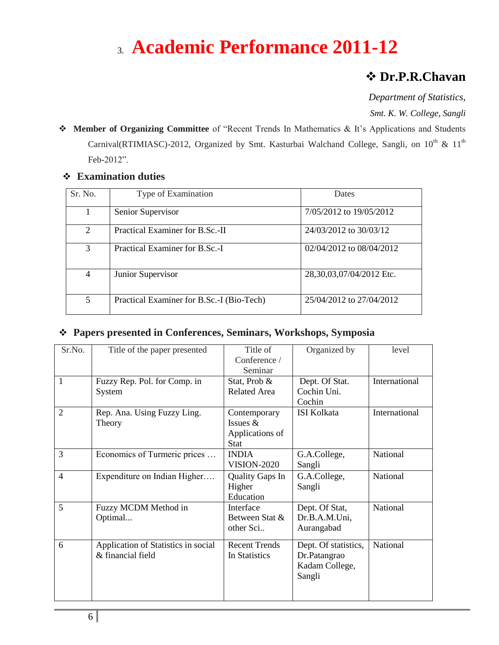# 3. **Academic Performance 2011-12**

## **Dr.P.R.Chavan**

*Department of Statistics, Smt. K. W. College, Sangli*

 **Member of Organizing Committee** of "Recent Trends In Mathematics & It's Applications and Students Carnival(RTIMIASC)-2012, Organized by Smt. Kasturbai Walchand College, Sangli, on 10<sup>th</sup> & 11<sup>th</sup> Feb-2012".

| Sr. No.                     | Type of Examination                       | <b>Dates</b>                 |
|-----------------------------|-------------------------------------------|------------------------------|
|                             | Senior Supervisor                         | 7/05/2012 to 19/05/2012      |
| $\mathcal{D}_{\mathcal{L}}$ | Practical Examiner for B.Sc.-II           | 24/03/2012 to 30/03/12       |
| 3                           | Practical Examiner for B.Sc.-I            | $02/04/2012$ to $08/04/2012$ |
| 4                           | Junior Supervisor                         | 28,30,03,07/04/2012 Etc.     |
| 5                           | Practical Examiner for B.Sc.-I (Bio-Tech) | 25/04/2012 to 27/04/2012     |

### **Examination duties**

#### **Papers presented in Conferences, Seminars, Workshops, Symposia**

| Sr.No.                   | Title of the paper presented        | Title of               | Organized by         | level         |
|--------------------------|-------------------------------------|------------------------|----------------------|---------------|
|                          |                                     | Conference /           |                      |               |
|                          |                                     | Seminar                |                      |               |
| 1                        | Fuzzy Rep. Pol. for Comp. in        | Stat, Prob &           | Dept. Of Stat.       | International |
|                          | System                              | Related Area           | Cochin Uni.          |               |
|                          |                                     |                        | Cochin               |               |
| $\overline{2}$           | Rep. Ana. Using Fuzzy Ling.         | Contemporary           | <b>ISI Kolkata</b>   | International |
|                          | Theory                              | Issues $&$             |                      |               |
|                          |                                     | Applications of        |                      |               |
|                          |                                     | <b>Stat</b>            |                      |               |
| 3                        | Economics of Turmeric prices        | <b>INDIA</b>           | G.A.College,         | National      |
|                          |                                     | <b>VISION-2020</b>     | Sangli               |               |
| $\overline{\mathcal{A}}$ | Expenditure on Indian Higher        | <b>Quality Gaps In</b> | G.A.College,         | National      |
|                          |                                     | Higher                 | Sangli               |               |
|                          |                                     | Education              |                      |               |
| 5                        | Fuzzy MCDM Method in                | Interface              | Dept. Of Stat,       | National      |
|                          | Optimal                             | Between Stat &         | Dr.B.A.M.Uni,        |               |
|                          |                                     | other Sci              | Aurangabad           |               |
| 6                        | Application of Statistics in social | <b>Recent Trends</b>   | Dept. Of statistics, | National      |
|                          | & financial field                   | In Statistics          | Dr.Patangrao         |               |
|                          |                                     |                        | Kadam College,       |               |
|                          |                                     |                        | Sangli               |               |
|                          |                                     |                        |                      |               |
|                          |                                     |                        |                      |               |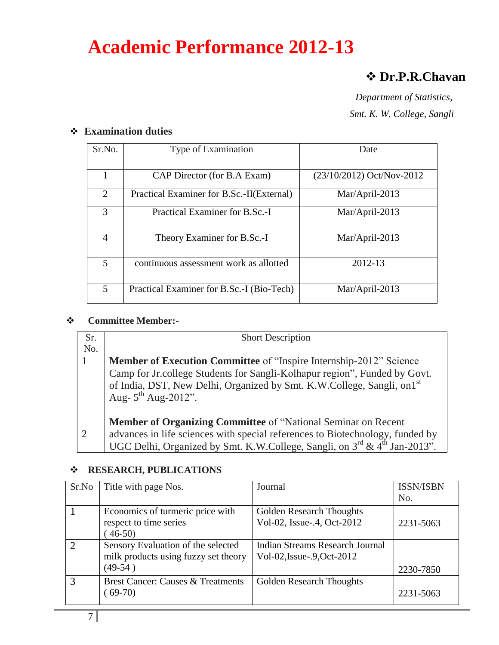# **Academic Performance 2012-13**

## **Dr.P.R.Chavan**

 *Department of Statistics, Smt. K. W. College, Sangli* 

### **Examination duties**

| Sr.No.         | Type of Examination                       | Date                      |
|----------------|-------------------------------------------|---------------------------|
|                | CAP Director (for B.A Exam)               | (23/10/2012) Oct/Nov-2012 |
| 2              | Practical Examiner for B.Sc.-II(External) | Mar/April-2013            |
| 3              | Practical Examiner for B.Sc.-I            | Mar/April-2013            |
| $\overline{A}$ | Theory Examiner for B.Sc.-I               | Mar/April-2013            |
| 5              | continuous assessment work as allotted    | 2012-13                   |
| 5              | Practical Examiner for B.Sc.-I (Bio-Tech) | Mar/April-2013            |

#### **Committee Member:-**

| Sr. | <b>Short Description</b>                                                            |
|-----|-------------------------------------------------------------------------------------|
| No. |                                                                                     |
|     | <b>Member of Execution Committee</b> of "Inspire Internship-2012" Science           |
|     | Camp for Jr.college Students for Sangli-Kolhapur region", Funded by Govt.           |
|     | of India, DST, New Delhi, Organized by Smt. K.W.College, Sangli, on1st              |
|     | Aug- $5^{th}$ Aug-2012".                                                            |
|     |                                                                                     |
|     | Member of Organizing Committee of "National Seminar on Recent                       |
|     | advances in life sciences with special references to Biotechnology, funded by       |
|     | UGC Delhi, Organized by Smt. K.W.College, Sangli, on $3^{rd}$ & $4^{th}$ Jan-2013". |

#### **RESEARCH, PUBLICATIONS**

| Sr.No         | Title with page Nos.                                                                    | Journal                                                              | <b>ISSN/ISBN</b><br>No. |
|---------------|-----------------------------------------------------------------------------------------|----------------------------------------------------------------------|-------------------------|
|               | Economics of turmeric price with<br>respect to time series<br>$46-50$                   | Golden Research Thoughts<br>Vol-02, Issue-.4, Oct-2012               | 2231-5063               |
| $\mathcal{D}$ | Sensory Evaluation of the selected<br>milk products using fuzzy set theory<br>$(49-54)$ | <b>Indian Streams Research Journal</b><br>Vol-02, Issue-.9, Oct-2012 | 2230-7850               |
| $\mathcal{R}$ | <b>Brest Cancer: Causes &amp; Treatments</b><br>$(69-70)$                               | <b>Golden Research Thoughts</b>                                      | 2231-5063               |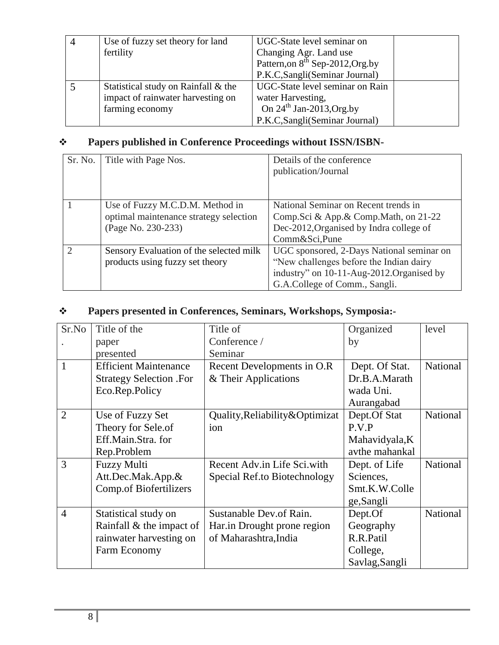| $\overline{4}$ | Use of fuzzy set theory for land    | UGC-State level seminar on                   |
|----------------|-------------------------------------|----------------------------------------------|
|                | fertility                           | Changing Agr. Land use                       |
|                |                                     | Pattern, on 8 <sup>th</sup> Sep-2012, Org.by |
|                |                                     | P.K.C, Sangli (Seminar Journal)              |
|                | Statistical study on Rainfall & the | UGC-State level seminar on Rain              |
|                | impact of rainwater harvesting on   | water Harvesting,                            |
|                | farming economy                     | On $24^{th}$ Jan-2013, Org.by                |
|                |                                     | P.K.C, Sangli (Seminar Journal)              |

## **Papers published in Conference Proceedings without ISSN/ISBN-**

| Sr. No. | Title with Page Nos.                                                                            | Details of the conference<br>publication/Journal                                                                                                                  |
|---------|-------------------------------------------------------------------------------------------------|-------------------------------------------------------------------------------------------------------------------------------------------------------------------|
|         | Use of Fuzzy M.C.D.M. Method in<br>optimal maintenance strategy selection<br>(Page No. 230-233) | National Seminar on Recent trends in<br>Comp.Sci & App.& Comp.Math, on 21-22<br>Dec-2012, Organised by Indra college of<br>Comm&Sci,Pune                          |
| ⌒       | Sensory Evaluation of the selected milk<br>products using fuzzy set theory                      | UGC sponsored, 2-Days National seminar on<br>"New challenges before the Indian dairy<br>industry" on 10-11-Aug-2012.Organised by<br>G.A.College of Comm., Sangli. |

## **Papers presented in Conferences, Seminars, Workshops, Symposia:-**

| Sr.No          | Title of the                   | Title of                         | Organized      | level           |
|----------------|--------------------------------|----------------------------------|----------------|-----------------|
|                | paper                          | Conference /                     | by             |                 |
|                | presented                      | Seminar                          |                |                 |
| $\mathbf{1}$   | <b>Efficient Maintenance</b>   | Recent Developments in O.R.      | Dept. Of Stat. | <b>National</b> |
|                | <b>Strategy Selection .For</b> | & Their Applications             | Dr.B.A.Marath  |                 |
|                | Eco.Rep.Policy                 |                                  | wada Uni.      |                 |
|                |                                |                                  | Aurangabad     |                 |
| $\overline{2}$ | Use of Fuzzy Set               | Quality, Reliability & Optimizat | Dept.Of Stat   | <b>National</b> |
|                | Theory for Sele.of             | ion                              | P.V.P          |                 |
|                | Eff.Main.Stra.for              |                                  | Mahavidyala, K |                 |
|                | Rep.Problem                    |                                  | avthe mahankal |                 |
| 3              | <b>Fuzzy Multi</b>             | Recent Adv.in Life Sci.with      | Dept. of Life  | <b>National</b> |
|                | Att.Dec.Mak.App.&              | Special Ref.to Biotechnology     | Sciences,      |                 |
|                | <b>Comp.of Biofertilizers</b>  |                                  | Smt.K.W.Colle  |                 |
|                |                                |                                  | ge,Sangli      |                 |
| $\overline{4}$ | Statistical study on           | Sustanable Dev. of Rain.         | Dept.Of        | <b>National</b> |
|                | Rainfall $\&$ the impact of    | Har.in Drought prone region      | Geography      |                 |
|                | rainwater harvesting on        | of Maharashtra, India            | R.R.Patil      |                 |
|                | Farm Economy                   |                                  | College,       |                 |
|                |                                |                                  | Savlag, Sangli |                 |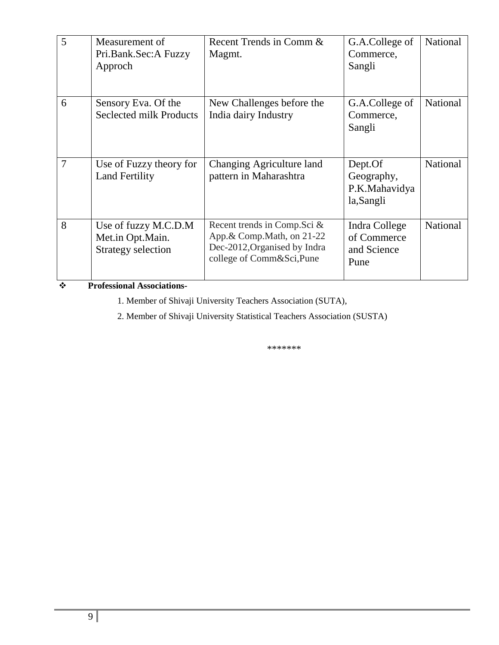| 5              | Measurement of<br>Pri.Bank.Sec:A Fuzzy<br>Approch                     | Recent Trends in Comm &<br>Magmt.                                                                                       | G.A.College of<br>Commerce,<br>Sangli               | National |
|----------------|-----------------------------------------------------------------------|-------------------------------------------------------------------------------------------------------------------------|-----------------------------------------------------|----------|
| 6              | Sensory Eva. Of the<br><b>Seclected milk Products</b>                 | New Challenges before the<br>India dairy Industry                                                                       | G.A.College of<br>Commerce,<br>Sangli               | National |
| $\overline{7}$ | Use of Fuzzy theory for<br><b>Land Fertility</b>                      | Changing Agriculture land<br>pattern in Maharashtra                                                                     | Dept.Of<br>Geography,<br>P.K.Mahavidya<br>la,Sangli | National |
| 8              | Use of fuzzy M.C.D.M<br>Met.in Opt.Main.<br><b>Strategy selection</b> | Recent trends in Comp. Sci &<br>App. & Comp. Math, on 21-22<br>Dec-2012, Organised by Indra<br>college of Comm&Sci,Pune | Indra College<br>of Commerce<br>and Science<br>Pune | National |

**Professional Associations-**

1. Member of Shivaji University Teachers Association (SUTA),

2. Member of Shivaji University Statistical Teachers Association (SUSTA)

\*\*\*\*\*\*\*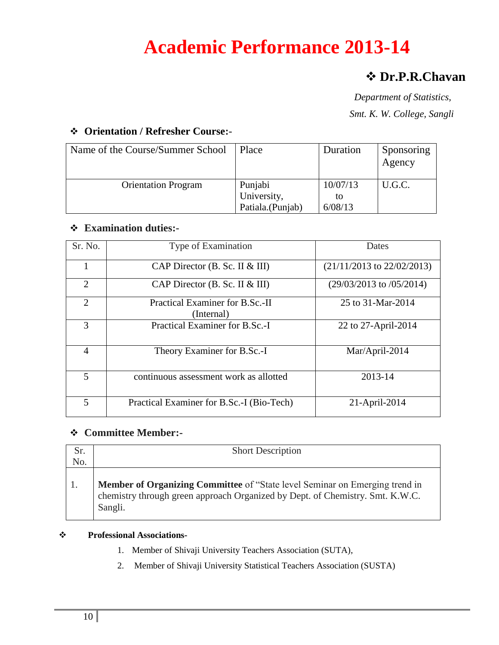# **Academic Performance 2013-14**

## **Dr.P.R.Chavan**

 *Department of Statistics, Smt. K. W. College, Sangli* 

### **Orientation / Refresher Course:-**

| Name of the Course/Summer School | Place            | Duration | Sponsoring<br>Agency |
|----------------------------------|------------------|----------|----------------------|
| <b>Orientation Program</b>       | Punjabi          | 10/07/13 | U.G.C.               |
|                                  | University,      | to       |                      |
|                                  | Patiala.(Punjab) | 6/08/13  |                      |

#### **Examination duties:-**

| Sr. No.                     | Type of Examination                           | Dates                          |
|-----------------------------|-----------------------------------------------|--------------------------------|
|                             | CAP Director $(B. Sc. II & III)$              | $(21/11/2013$ to $22/02/2013)$ |
| $\mathcal{D}_{\mathcal{L}}$ | CAP Director (B. Sc. II & III)                | $(29/03/2013)$ to $/05/2014$   |
| $\overline{2}$              | Practical Examiner for B.Sc.-II<br>(Internal) | 25 to 31-Mar-2014              |
| 3                           | Practical Examiner for B.Sc.-I                | 22 to 27-April-2014            |
| 4                           | Theory Examiner for B.Sc.-I                   | Mar/April-2014                 |
| 5                           | continuous assessment work as allotted        | 2013-14                        |
| 5                           | Practical Examiner for B.Sc.-I (Bio-Tech)     | 21-April-2014                  |

#### **Committee Member:-**

| Sr.<br>No. | <b>Short Description</b>                                                                                                                                                       |
|------------|--------------------------------------------------------------------------------------------------------------------------------------------------------------------------------|
|            | <b>Member of Organizing Committee</b> of "State level Seminar on Emerging trend in<br>chemistry through green approach Organized by Dept. of Chemistry. Smt. K.W.C.<br>Sangli. |

- 1. Member of Shivaji University Teachers Association (SUTA),
- 2. Member of Shivaji University Statistical Teachers Association (SUSTA)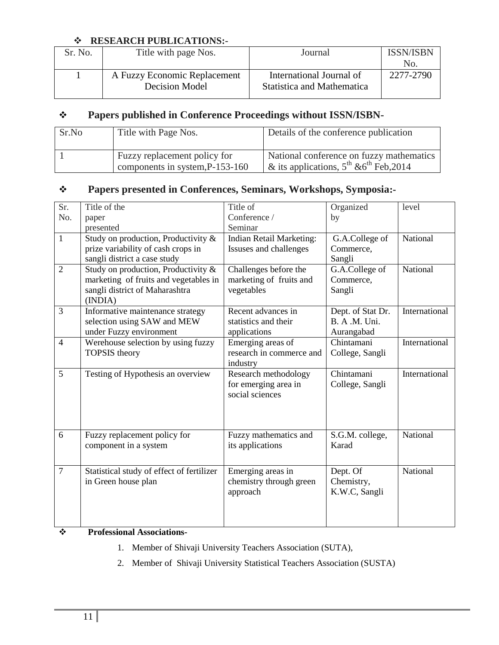#### **RESEARCH PUBLICATIONS:-**

| Sr. No. | Title with page Nos.         | Journal                    | <b>ISSN/ISBN</b><br>No. |  |  |  |  |
|---------|------------------------------|----------------------------|-------------------------|--|--|--|--|
|         |                              |                            |                         |  |  |  |  |
|         |                              |                            |                         |  |  |  |  |
|         | Decision Model               | Statistica and Mathematica |                         |  |  |  |  |
|         | A Fuzzy Economic Replacement | International Journal of   | 2277-2790               |  |  |  |  |

### **Papers published in Conference Proceedings without ISSN/ISBN-**

| Sr.No | Title with Page Nos.                                            | Details of the conference publication                                                         |
|-------|-----------------------------------------------------------------|-----------------------------------------------------------------------------------------------|
|       | Fuzzy replacement policy for<br>components in system, P-153-160 | National conference on fuzzy mathematics<br>& its applications, $5^{th}$ & $6^{th}$ Feb, 2014 |

### **Papers presented in Conferences, Seminars, Workshops, Symposia:-**

| Sr.            | Title of the                              | Title of                        | Organized         | level         |
|----------------|-------------------------------------------|---------------------------------|-------------------|---------------|
| No.            | paper                                     | Conference /                    | by                |               |
|                | presented                                 | Seminar                         |                   |               |
| $\mathbf{1}$   | Study on production, Productivity &       | <b>Indian Retail Marketing:</b> | G.A.College of    | National      |
|                | prize variability of cash crops in        | Issuses and challenges          | Commerce,         |               |
|                | sangli district a case study              |                                 | Sangli            |               |
| $\overline{2}$ | Study on production, Productivity &       | Challenges before the           | G.A.College of    | National      |
|                | marketing of fruits and vegetables in     | marketing of fruits and         | Commerce,         |               |
|                | sangli district of Maharashtra            | vegetables                      | Sangli            |               |
|                | (INDIA)                                   |                                 |                   |               |
| 3              | Informative maintenance strategy          | Recent advances in              | Dept. of Stat Dr. | International |
|                | selection using SAW and MEW               | statistics and their            | B. A .M. Uni.     |               |
|                | under Fuzzy environment                   | applications                    | Aurangabad        |               |
| $\overline{4}$ | Werehouse selection by using fuzzy        | Emerging areas of               | Chintamani        | International |
|                | <b>TOPSIS</b> theory                      | research in commerce and        | College, Sangli   |               |
|                |                                           | industry                        |                   |               |
| 5              | Testing of Hypothesis an overview         | Research methodology            | Chintamani        | International |
|                |                                           | for emerging area in            | College, Sangli   |               |
|                |                                           | social sciences                 |                   |               |
|                |                                           |                                 |                   |               |
|                |                                           |                                 |                   |               |
|                |                                           |                                 |                   |               |
| 6              | Fuzzy replacement policy for              | Fuzzy mathematics and           | S.G.M. college,   | National      |
|                | component in a system                     | its applications                | Karad             |               |
|                |                                           |                                 |                   |               |
| $\overline{7}$ | Statistical study of effect of fertilizer | Emerging areas in               | Dept. Of          | National      |
|                | in Green house plan                       | chemistry through green         | Chemistry,        |               |
|                |                                           | approach                        | K.W.C, Sangli     |               |
|                |                                           |                                 |                   |               |
|                |                                           |                                 |                   |               |
|                |                                           |                                 |                   |               |

- 1. Member of Shivaji University Teachers Association (SUTA),
- 2. Member of Shivaji University Statistical Teachers Association (SUSTA)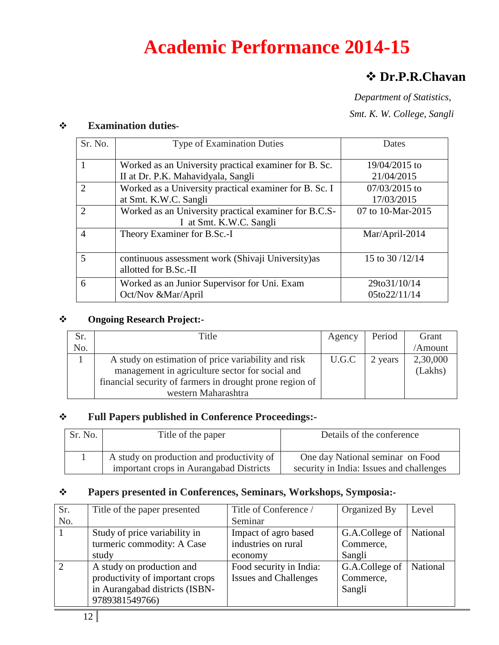# **Academic Performance 2014-15**

# **Dr.P.R.Chavan**

 *Department of Statistics, Smt. K. W. College, Sangli*

| ∙÷ | <b>Examination duties-</b> |             |
|----|----------------------------|-------------|
|    | Sr. No.                    | Type of Exa |

| Sr. No.                     | <b>Type of Examination Duties</b>                      | Dates              |
|-----------------------------|--------------------------------------------------------|--------------------|
|                             | Worked as an University practical examiner for B. Sc.  | 19/04/2015 to      |
|                             | II at Dr. P.K. Mahavidyala, Sangli                     | 21/04/2015         |
| $\mathcal{D}_{\mathcal{A}}$ | Worked as a University practical examiner for B. Sc. I | $07/03/2015$ to    |
|                             | at Smt. K.W.C. Sangli                                  | 17/03/2015         |
| $\mathcal{D}_{\mathcal{L}}$ | Worked as an University practical examiner for B.C.S-  | 07 to 10-Mar-2015  |
|                             | I at Smt. K.W.C. Sangli                                |                    |
| $\overline{4}$              | Theory Examiner for B.Sc.-I                            | Mar/April-2014     |
|                             |                                                        |                    |
| 5                           | continuous assessment work (Shivaji University) as     | 15 to 30/12/14     |
|                             | allotted for B.Sc.-II                                  |                    |
| 6                           | Worked as an Junior Supervisor for Uni. Exam           | 29to31/10/14       |
|                             | Oct/Nov &Mar/April                                     | $05$ to $22/11/14$ |

#### **Ongoing Research Project:-**

| Sr. | Title                                                    | Agency | Period  | Grant    |
|-----|----------------------------------------------------------|--------|---------|----------|
| No. |                                                          |        |         | /Amount  |
|     | A study on estimation of price variability and risk      | U.G.C  | 2 years | 2,30,000 |
|     | management in agriculture sector for social and          |        |         | (Lakhs)  |
|     | financial security of farmers in drought prone region of |        |         |          |
|     | western Maharashtra                                      |        |         |          |

### **Full Papers published in Conference Proceedings:-**

| Sr. No. | Title of the paper                                                                   | Details of the conference                                                    |
|---------|--------------------------------------------------------------------------------------|------------------------------------------------------------------------------|
|         | A study on production and productivity of<br>important crops in Aurangabad Districts | One day National seminar on Food<br>security in India: Issues and challenges |

### **Papers presented in Conferences, Seminars, Workshops, Symposia:-**

| Sr.           | Title of the paper presented    | Title of Conference /        | Organized By   | Level    |
|---------------|---------------------------------|------------------------------|----------------|----------|
| No.           |                                 | Seminar                      |                |          |
|               | Study of price variability in   | Impact of agro based         | G.A.College of | National |
|               | turmeric commodity: A Case      | industries on rural          | Commerce,      |          |
|               | study                           | economy                      | Sangli         |          |
| $\mathcal{D}$ | A study on production and       | Food security in India:      | G.A.College of | National |
|               | productivity of important crops | <b>Issues and Challenges</b> | Commerce,      |          |
|               | in Aurangabad districts (ISBN-  |                              | Sangli         |          |
|               | 9789381549766)                  |                              |                |          |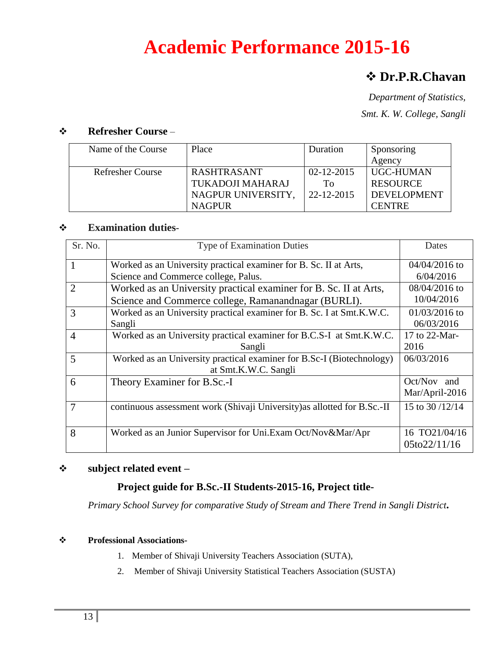# **Academic Performance 2015-16**

## **Dr.P.R.Chavan**

*Department of Statistics, Smt. K. W. College, Sangli*

#### **Refresher Course** –

| Name of the Course      | Place              | Duration         | Sponsoring         |
|-------------------------|--------------------|------------------|--------------------|
|                         |                    |                  | Agency             |
| <b>Refresher Course</b> | <b>RASHTRASANT</b> | $02 - 12 - 2015$ | UGC-HUMAN          |
|                         | TUKADOJI MAHARAJ   | Tο               | <b>RESOURCE</b>    |
|                         | NAGPUR UNIVERSITY, | 22-12-2015       | <b>DEVELOPMENT</b> |
|                         | <b>NAGPUR</b>      |                  | <b>CENTRE</b>      |

#### **Examination duties**-

| Sr. No.        | <b>Type of Examination Duties</b>                                        | Dates              |
|----------------|--------------------------------------------------------------------------|--------------------|
|                | Worked as an University practical examiner for B. Sc. II at Arts,        | $04/04/2016$ to    |
|                | Science and Commerce college, Palus.                                     | 6/04/2016          |
| $\overline{2}$ | Worked as an University practical examiner for B. Sc. II at Arts,        | $08/04/2016$ to    |
|                | Science and Commerce college, Ramanandnagar (BURLI).                     | 10/04/2016         |
| 3              | Worked as an University practical examiner for B. Sc. I at Smt.K.W.C.    | $01/03/2016$ to    |
|                | Sangli                                                                   | 06/03/2016         |
| $\overline{4}$ | Worked as an University practical examiner for B.C.S-I at Smt.K.W.C.     | 17 to 22-Mar-      |
|                | Sangli                                                                   | 2016               |
| 5              | Worked as an University practical examiner for B.Sc-I (Biotechnology)    | 06/03/2016         |
|                | at Smt.K.W.C. Sangli                                                     |                    |
| 6              | Theory Examiner for B.Sc.-I                                              | $Oct/Nov$ and      |
|                |                                                                          | Mar/April-2016     |
| $\overline{7}$ | continuous assessment work (Shivaji University) as allotted for B.Sc.-II | 15 to 30/12/14     |
|                |                                                                          |                    |
| 8              | Worked as an Junior Supervisor for Uni.Exam Oct/Nov&Mar/Apr              | 16 TO21/04/16      |
|                |                                                                          | $05$ to $22/11/16$ |

#### **subject related event –**

#### **Project guide for B.Sc.-II Students-2015-16, Project title-**

*Primary School Survey for comparative Study of Stream and There Trend in Sangli District***.**

- 1. Member of Shivaji University Teachers Association (SUTA),
- 2. Member of Shivaji University Statistical Teachers Association (SUSTA)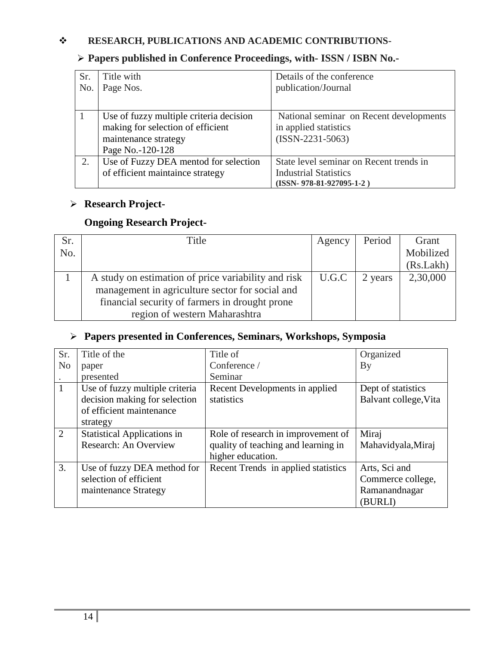#### **RESEARCH, PUBLICATIONS AND ACADEMIC CONTRIBUTIONS-**

### **Papers published in Conference Proceedings, with- ISSN / ISBN No.-**

| Sr. | Title with                              | Details of the conference               |
|-----|-----------------------------------------|-----------------------------------------|
| No. | Page Nos.                               | publication/Journal                     |
|     |                                         |                                         |
|     | Use of fuzzy multiple criteria decision | National seminar on Recent developments |
|     | making for selection of efficient       | in applied statistics                   |
|     | maintenance strategy                    | $(ISSN-2231-5063)$                      |
|     | Page No.-120-128                        |                                         |
| 2.  | Use of Fuzzy DEA mentod for selection   | State level seminar on Recent trends in |
|     | of efficient maintaince strategy        | <b>Industrial Statistics</b>            |
|     |                                         | $(ISSN-978-81-927095-1-2)$              |

## **Research Project-**

### **Ongoing Research Project-**

| Sr. | Title                                               | Agency | Period  | Grant     |
|-----|-----------------------------------------------------|--------|---------|-----------|
| No. |                                                     |        |         | Mobilized |
|     |                                                     |        |         | (Rs.Lakh) |
|     | A study on estimation of price variability and risk | U.G.C  | 2 years | 2,30,000  |
|     | management in agriculture sector for social and     |        |         |           |
|     | financial security of farmers in drought prone      |        |         |           |
|     | region of western Maharashtra                       |        |         |           |

#### **Papers presented in Conferences, Seminars, Workshops, Symposia**

| Sr.            | Title of the                       | Title of                            | Organized             |
|----------------|------------------------------------|-------------------------------------|-----------------------|
| N <sub>o</sub> | paper                              | Conference /                        | By                    |
|                | presented                          | Seminar                             |                       |
| $\mathbf{1}$   | Use of fuzzy multiple criteria     | Recent Developments in applied      | Dept of statistics    |
|                | decision making for selection      | statistics                          | Balvant college, Vita |
|                | of efficient maintenance           |                                     |                       |
|                | strategy                           |                                     |                       |
| 2              | <b>Statistical Applications in</b> | Role of research in improvement of  | Miraj                 |
|                | Research: An Overview              | quality of teaching and learning in | Mahavidyala, Miraj    |
|                |                                    | higher education.                   |                       |
| 3.             | Use of fuzzy DEA method for        | Recent Trends in applied statistics | Arts, Sci and         |
|                | selection of efficient             |                                     | Commerce college,     |
|                | maintenance Strategy               |                                     | Ramanandnagar         |
|                |                                    |                                     | (BURLI)               |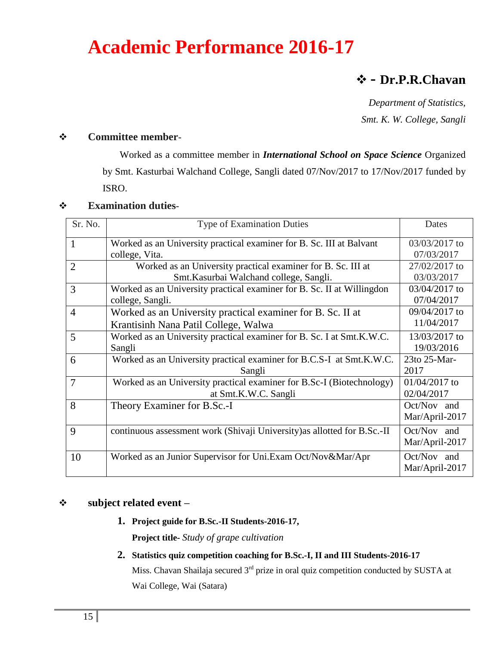# **Academic Performance 2016-17**

## **- Dr.P.R.Chavan**

*Department of Statistics, Smt. K. W. College, Sangli*

#### **Committee member**-

Worked as a committee member in *International School on Space Science* Organized by Smt. Kasturbai Walchand College, Sangli dated 07/Nov/2017 to 17/Nov/2017 funded by ISRO.

#### **Examination duties**-

| Sr. No.        | <b>Type of Examination Duties</b>                                        | Dates          |
|----------------|--------------------------------------------------------------------------|----------------|
| 1              | Worked as an University practical examiner for B. Sc. III at Balvant     | 03/03/2017 to  |
|                | college, Vita.                                                           | 07/03/2017     |
| $\overline{2}$ | Worked as an University practical examiner for B. Sc. III at             | 27/02/2017 to  |
|                | Smt.Kasurbai Walchand college, Sangli.                                   | 03/03/2017     |
| $\overline{3}$ | Worked as an University practical examiner for B. Sc. II at Willingdon   | 03/04/2017 to  |
|                | college, Sangli.                                                         | 07/04/2017     |
| $\overline{4}$ | Worked as an University practical examiner for B. Sc. II at              | 09/04/2017 to  |
|                | Krantisinh Nana Patil College, Walwa                                     | 11/04/2017     |
| 5              | Worked as an University practical examiner for B. Sc. I at Smt.K.W.C.    | 13/03/2017 to  |
|                | Sangli                                                                   | 19/03/2016     |
| 6              | Worked as an University practical examiner for B.C.S-I at Smt.K.W.C.     | 23to 25-Mar-   |
|                | Sangli                                                                   | 2017           |
| $\overline{7}$ | Worked as an University practical examiner for B.Sc-I (Biotechnology)    | 01/04/2017 to  |
|                | at Smt.K.W.C. Sangli                                                     | 02/04/2017     |
| 8              | Theory Examiner for B.Sc.-I                                              | Oct/Nov and    |
|                |                                                                          | Mar/April-2017 |
| 9              | continuous assessment work (Shivaji University) as allotted for B.Sc.-II | Oct/Nov and    |
|                |                                                                          | Mar/April-2017 |
| 10             | Worked as an Junior Supervisor for Uni.Exam Oct/Nov&Mar/Apr              | Oct/Nov and    |
|                |                                                                          | Mar/April-2017 |

#### **subject related event –**

**1. Project guide for B.Sc.-II Students-2016-17,** 

**Project title-** *Study of grape cultivation*

**2. Statistics quiz competition coaching for B.Sc.-I, II and III Students-2016-17**

Miss. Chavan Shailaja secured 3<sup>rd</sup> prize in oral quiz competition conducted by SUSTA at Wai College, Wai (Satara)